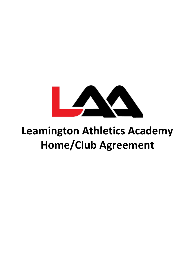

## **Leamington Athletics Academy Home/Club Agreement**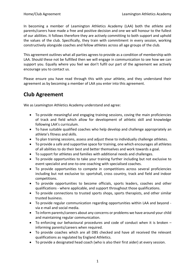In becoming a member of Leamington Athletics Academy (LAA) both the athlete and parents/carers have made a free and positive decision and one we will honour to the fullest of our abilities. It follows therefore they are actively committing to both support and uphold the values of the club. Specifically, they train with commitment in every session, working constructively alongside coaches and fellow athletes across all age groups of the club.

This agreement outlines what all parties agrees to provide as a condition of membership with LAA. Should these not be fulfilled then we will engage in communication to see how we can support you. Equally where you feel we don't fulfil our part of the agreement we actively encourage you to contact us.

Please ensure you have read through this with your athlete, and they understand their agreement as by becoming a member of LAA you enter into this agreement.

## **Club Agreement**

We as Leamington Athletics Academy understand and agree:

- To provide meaningful and engaging training sessions, coving the main proficiencies of track and field which allow for development of athletic skill and knowledge following LAA's curriculum.
- To have suitable qualified coaches who help develop and challenge appropriately an athlete's fitness and skills.
- To plan training sessions, assess and adjust these to individually challenge athletes.
- To provide a safe and supportive space for training, one which encourages all athletes of all abilities to do their best and better themselves and work towards a goal.
- To support for athletes and families with additional needs and challenges.
- To provide opportunities to take your training further including but not exclusive to event specialist and one-to-one coaching with specialised coaches.
- To provide opportunities to compete in competitions across several proficiencies including but not exclusive to: sportshall, cross country, track and field and indoor competitions.
- To provide opportunities to become officials, sports leaders, coaches and other qualifications - where applicable, and support throughout those qualifications.
- To provide connections to trusted sports shops, sports therapists, and other similar trusted business.
- To provide regular communication regarding opportunities within LAA and beyond via e-mail and social media.
- To inform parents/careers about any concerns or problems we have around your child and maintaining regular communication.
- To enforcing our behavioural procedures and code of conduct when it is broken informing parents/careers when required.
- To provide coaches which are all DBS checked and have all received the relevant qualifications as regulated by England Athletics.
- To provide a designated head coach (who is also their first aider) at every session.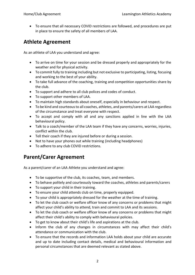• To ensure that all necessary COVID restrictions are followed, and procedures are put in place to ensure the safety of all members of LAA.

## **Athlete Agreement**

As an athlete of LAA you understand and agree:

- To arrive on time for your session and be dressed properly and appropriately for the weather and for physical activity.
- To commit fully to training including but not exclusive to participating, listing, focusing and working to the best of your ability.
- To take full advance of the coaching, training and competition opportunities share by the club.
- To support and adhere to all club polices and codes of conduct.
- To support other members of LAA.
- To maintain high standards about oneself, especially in behaviour and respect.
- To be kind and courteous to all coaches, athletes, and parents/carers at LAA regardless of the circumstance and treat everyone with respect.
- To accept and comply with all and any sanctions applied in line with the LAA behavioural policy.
- Talk to a coach/member of the LAA team if they have any concerns, worries, injuries, conflict within the club.
- Tell their coach if they are injured before or during a session.
- Not to have your phones out while training (including headphones)
- To adhere to any club COVID restrictions.

## **Parent/Carer Agreement**

As a parent/carer of an LAA Athlete you understand and agree:

- To be supportive of the club, its coaches, team, and members.
- To behave politely and courteously toward the coaches, athletes and parents/carers
- To support your child in their training.
- To ensure your child attends club on time, properly equipped.
- To your child is appropriately dressed for the weather at the time of training.
- To let the club coach or welfare officer know of any concerns or problems that might affect your child's ability to attend, train and commit to LAA and its sessions.
- To let the club coach or welfare officer know of any concerns or problems that might affect their child's ability to comply with behavioural policies.
- To get to know about their child's life and aspirations at the club.
- Inform the club of any changes in circumstances with may affect their child's attendance or communication with the club.
- To ensure that the records and information LAA holds about your child are accurate and up to date including contact details, medical and behavioural information and personal circumstances that are deemed relevant as stated above.